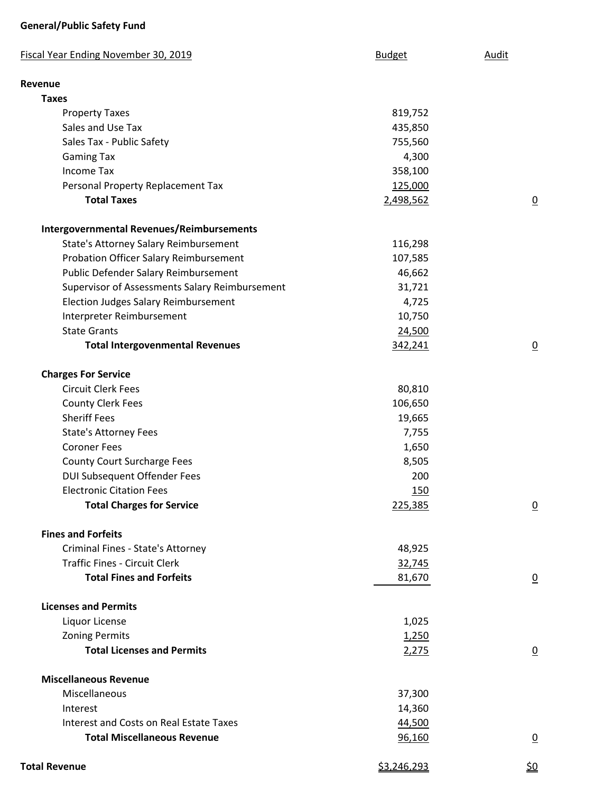## **General/Public Safety Fund**

| Fiscal Year Ending November 30, 2019             | <b>Budget</b>      | <b>Audit</b>    |
|--------------------------------------------------|--------------------|-----------------|
| Revenue                                          |                    |                 |
| <b>Taxes</b>                                     |                    |                 |
| <b>Property Taxes</b>                            | 819,752            |                 |
| Sales and Use Tax                                | 435,850            |                 |
| Sales Tax - Public Safety                        | 755,560            |                 |
| <b>Gaming Tax</b>                                | 4,300              |                 |
| <b>Income Tax</b>                                | 358,100            |                 |
| Personal Property Replacement Tax                | 125,000            |                 |
| <b>Total Taxes</b>                               | 2,498,562          | $\overline{0}$  |
| <b>Intergovernmental Revenues/Reimbursements</b> |                    |                 |
| State's Attorney Salary Reimbursement            | 116,298            |                 |
| Probation Officer Salary Reimbursement           | 107,585            |                 |
| Public Defender Salary Reimbursement             | 46,662             |                 |
| Supervisor of Assessments Salary Reimbursement   | 31,721             |                 |
| <b>Election Judges Salary Reimbursement</b>      | 4,725              |                 |
| Interpreter Reimbursement                        | 10,750             |                 |
| <b>State Grants</b>                              | 24,500             |                 |
| <b>Total Intergovenmental Revenues</b>           | 342,241            | $\overline{0}$  |
| <b>Charges For Service</b>                       |                    |                 |
| <b>Circuit Clerk Fees</b>                        | 80,810             |                 |
| <b>County Clerk Fees</b>                         | 106,650            |                 |
| <b>Sheriff Fees</b>                              | 19,665             |                 |
| <b>State's Attorney Fees</b>                     | 7,755              |                 |
| <b>Coroner Fees</b>                              | 1,650              |                 |
| <b>County Court Surcharge Fees</b>               | 8,505              |                 |
| <b>DUI Subsequent Offender Fees</b>              | 200                |                 |
| <b>Electronic Citation Fees</b>                  | 150                |                 |
| <b>Total Charges for Service</b>                 | 225,385            | $\overline{0}$  |
| <b>Fines and Forfeits</b>                        |                    |                 |
| Criminal Fines - State's Attorney                | 48,925             |                 |
| <b>Traffic Fines - Circuit Clerk</b>             | 32,745             |                 |
| <b>Total Fines and Forfeits</b>                  | 81,670             | $\overline{0}$  |
| <b>Licenses and Permits</b>                      |                    |                 |
| Liquor License                                   | 1,025              |                 |
| <b>Zoning Permits</b>                            | 1,250              |                 |
| <b>Total Licenses and Permits</b>                | 2,275              | $\overline{0}$  |
| <b>Miscellaneous Revenue</b>                     |                    |                 |
| Miscellaneous                                    | 37,300             |                 |
| Interest                                         | 14,360             |                 |
| Interest and Costs on Real Estate Taxes          | 44,500             |                 |
| <b>Total Miscellaneous Revenue</b>               | 96,160             | $\underline{0}$ |
| <b>Total Revenue</b>                             | <u>\$3,246,293</u> | <u> 외</u>       |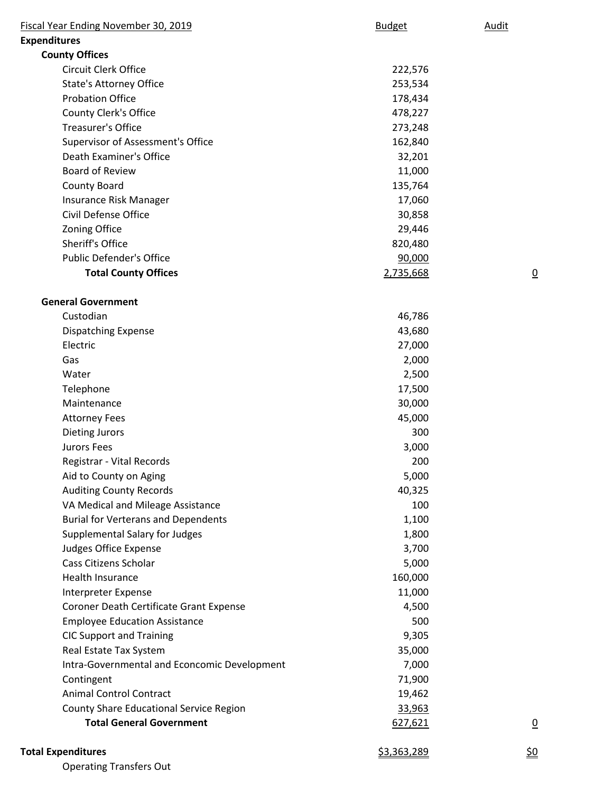| Fiscal Year Ending November 30, 2019         | <b>Budget</b>      | Audit          |
|----------------------------------------------|--------------------|----------------|
| <b>Expenditures</b>                          |                    |                |
| <b>County Offices</b>                        |                    |                |
| Circuit Clerk Office                         | 222,576            |                |
| <b>State's Attorney Office</b>               | 253,534            |                |
| <b>Probation Office</b>                      | 178,434            |                |
| County Clerk's Office                        | 478,227            |                |
| <b>Treasurer's Office</b>                    | 273,248            |                |
| Supervisor of Assessment's Office            | 162,840            |                |
| Death Examiner's Office                      | 32,201             |                |
| <b>Board of Review</b>                       | 11,000             |                |
| County Board                                 | 135,764            |                |
| Insurance Risk Manager                       | 17,060             |                |
| Civil Defense Office                         | 30,858             |                |
| Zoning Office                                | 29,446             |                |
| Sheriff's Office                             | 820,480            |                |
| <b>Public Defender's Office</b>              | 90,000             |                |
| <b>Total County Offices</b>                  | 2,735,668          | <u>0</u>       |
| <b>General Government</b>                    |                    |                |
| Custodian                                    | 46,786             |                |
| <b>Dispatching Expense</b>                   | 43,680             |                |
| Electric                                     | 27,000             |                |
| Gas                                          | 2,000              |                |
| Water                                        | 2,500              |                |
| Telephone                                    | 17,500             |                |
| Maintenance                                  | 30,000             |                |
| <b>Attorney Fees</b>                         | 45,000             |                |
| <b>Dieting Jurors</b>                        | 300                |                |
| Jurors Fees                                  | 3,000              |                |
|                                              |                    |                |
| Registrar - Vital Records                    | 200                |                |
| Aid to County on Aging                       | 5,000              |                |
| <b>Auditing County Records</b>               | 40,325<br>100      |                |
| VA Medical and Mileage Assistance            |                    |                |
| <b>Burial for Verterans and Dependents</b>   | 1,100              |                |
| Supplemental Salary for Judges               | 1,800              |                |
| Judges Office Expense                        | 3,700              |                |
| Cass Citizens Scholar                        | 5,000              |                |
| Health Insurance                             | 160,000            |                |
| Interpreter Expense                          | 11,000             |                |
| Coroner Death Certificate Grant Expense      | 4,500              |                |
| <b>Employee Education Assistance</b>         | 500                |                |
| <b>CIC Support and Training</b>              | 9,305              |                |
| Real Estate Tax System                       | 35,000             |                |
| Intra-Governmental and Econcomic Development | 7,000              |                |
| Contingent                                   | 71,900             |                |
| <b>Animal Control Contract</b>               | 19,462             |                |
| County Share Educational Service Region      | 33,963             |                |
| <b>Total General Government</b>              | 627,621            | $\overline{0}$ |
| <b>Total Expenditures</b>                    | <u>\$3,363,289</u> | <u>\$0</u>     |

Operating Transfers Out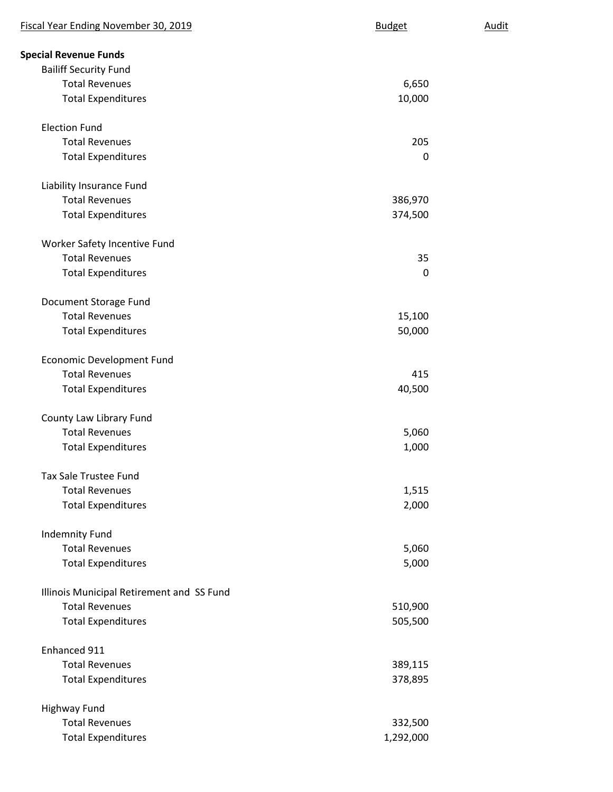| Fiscal Year Ending November 30, 2019      | <b>Budget</b> | Audit |
|-------------------------------------------|---------------|-------|
| <b>Special Revenue Funds</b>              |               |       |
| <b>Bailiff Security Fund</b>              |               |       |
| <b>Total Revenues</b>                     | 6,650         |       |
| <b>Total Expenditures</b>                 | 10,000        |       |
| <b>Election Fund</b>                      |               |       |
| <b>Total Revenues</b>                     | 205           |       |
| <b>Total Expenditures</b>                 | 0             |       |
| Liability Insurance Fund                  |               |       |
| <b>Total Revenues</b>                     | 386,970       |       |
| <b>Total Expenditures</b>                 | 374,500       |       |
| Worker Safety Incentive Fund              |               |       |
| <b>Total Revenues</b>                     | 35            |       |
| <b>Total Expenditures</b>                 | 0             |       |
| Document Storage Fund                     |               |       |
| <b>Total Revenues</b>                     | 15,100        |       |
| <b>Total Expenditures</b>                 | 50,000        |       |
| <b>Economic Development Fund</b>          |               |       |
| <b>Total Revenues</b>                     | 415           |       |
| <b>Total Expenditures</b>                 | 40,500        |       |
| County Law Library Fund                   |               |       |
| <b>Total Revenues</b>                     | 5,060         |       |
| <b>Total Expenditures</b>                 | 1,000         |       |
| <b>Tax Sale Trustee Fund</b>              |               |       |
| <b>Total Revenues</b>                     | 1,515         |       |
| <b>Total Expenditures</b>                 | 2,000         |       |
| <b>Indemnity Fund</b>                     |               |       |
| <b>Total Revenues</b>                     | 5,060         |       |
| <b>Total Expenditures</b>                 | 5,000         |       |
| Illinois Municipal Retirement and SS Fund |               |       |
| <b>Total Revenues</b>                     | 510,900       |       |
| <b>Total Expenditures</b>                 | 505,500       |       |
| Enhanced 911                              |               |       |
| <b>Total Revenues</b>                     | 389,115       |       |
| <b>Total Expenditures</b>                 | 378,895       |       |
| <b>Highway Fund</b>                       |               |       |
| <b>Total Revenues</b>                     | 332,500       |       |
| <b>Total Expenditures</b>                 | 1,292,000     |       |
|                                           |               |       |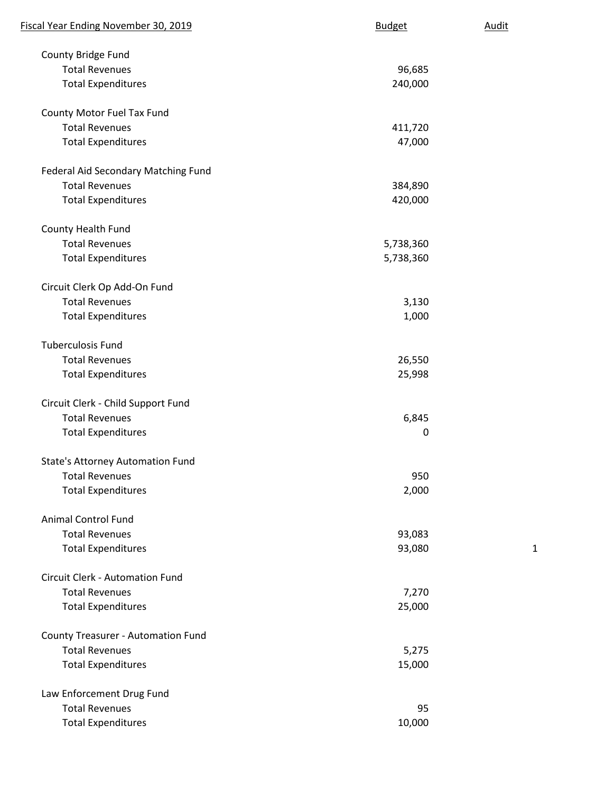| Fiscal Year Ending November 30, 2019      | <b>Budget</b> | <b>Audit</b> |
|-------------------------------------------|---------------|--------------|
| County Bridge Fund                        |               |              |
| <b>Total Revenues</b>                     | 96,685        |              |
| <b>Total Expenditures</b>                 | 240,000       |              |
| County Motor Fuel Tax Fund                |               |              |
| <b>Total Revenues</b>                     | 411,720       |              |
| <b>Total Expenditures</b>                 | 47,000        |              |
| Federal Aid Secondary Matching Fund       |               |              |
| <b>Total Revenues</b>                     | 384,890       |              |
| <b>Total Expenditures</b>                 | 420,000       |              |
| County Health Fund                        |               |              |
| <b>Total Revenues</b>                     | 5,738,360     |              |
| <b>Total Expenditures</b>                 | 5,738,360     |              |
| Circuit Clerk Op Add-On Fund              |               |              |
| <b>Total Revenues</b>                     | 3,130         |              |
| <b>Total Expenditures</b>                 | 1,000         |              |
| <b>Tuberculosis Fund</b>                  |               |              |
| <b>Total Revenues</b>                     | 26,550        |              |
| <b>Total Expenditures</b>                 | 25,998        |              |
| Circuit Clerk - Child Support Fund        |               |              |
| <b>Total Revenues</b>                     | 6,845         |              |
| <b>Total Expenditures</b>                 | $\mathbf 0$   |              |
| <b>State's Attorney Automation Fund</b>   |               |              |
| <b>Total Revenues</b>                     | 950           |              |
| <b>Total Expenditures</b>                 | 2,000         |              |
| <b>Animal Control Fund</b>                |               |              |
| <b>Total Revenues</b>                     | 93,083        |              |
| <b>Total Expenditures</b>                 | 93,080        | 1            |
| Circuit Clerk - Automation Fund           |               |              |
| <b>Total Revenues</b>                     | 7,270         |              |
| <b>Total Expenditures</b>                 | 25,000        |              |
| <b>County Treasurer - Automation Fund</b> |               |              |
| <b>Total Revenues</b>                     | 5,275         |              |
| <b>Total Expenditures</b>                 | 15,000        |              |
| Law Enforcement Drug Fund                 |               |              |
| <b>Total Revenues</b>                     | 95            |              |
| <b>Total Expenditures</b>                 | 10,000        |              |
|                                           |               |              |